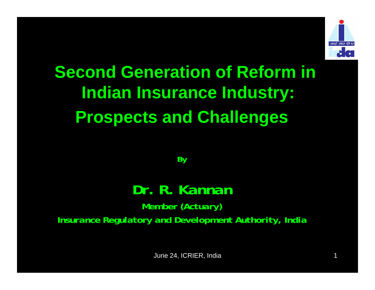

# **Second Generation of Reform in Indian Insurance Industry: Prospects and Challenges**

*By*

#### *Dr. R. Kannan*

*Member (Actuary) Insurance Regulatory and Development Authority, India*

June 24, ICRIER, India 1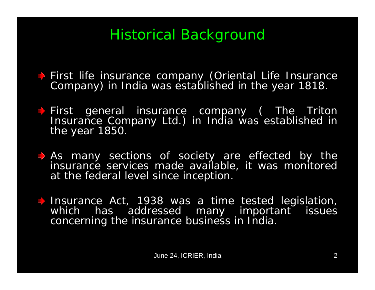## Historical Background

- First life insurance company (Oriental Life Insurance Company) in India was established in the year 1818.
- First general insurance company (The Triton Insurance Company Ltd.) in India was established in the year 1850.
- $\Rightarrow$  As many sections of society are effected by the insurance services made available, it was monitored at the federal level since inception.
- Insurance Act, 1938 was a time tested legislation,<br>which has addressed many important issues has addressed many important issues concerning the insurance business in India.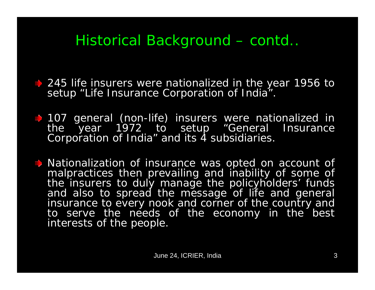## Historical Background – contd..

**↓ 245 life insurers were nationalized in the year 1956 to** setup "Life Insurance Corporation of India".

107 general (non-life) insurers were nationalized in the year 1972 to setup "General Insurance Corporation of India" and its 4 subsidiaries.

 $\rightarrow$  Nationalization of insurance was opted on account of malpractices then prevailing and inability of some of the insurers to duly manage the policyholders' funds and also to spread the message of life and general insurance to every nook and corner of the country and to serve the needs of the economy in the best interests of the people.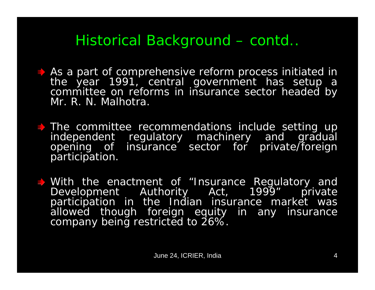## Historical Background – contd..

- As a part of comprehensive reform process initiated in the year 1991, central government has setup a committee on reforms in insurance sector headed by Mr. R. N. Malhotra.
- The committee recommendations include setting up<br>independent regulatory machinery and gradual opening of insurance sector for private/foreign participation.
- With the enactment of "Insurance Regulatory and Development Authority Act, 1999" private participation in the Indian insurance market was allowed though foreign equity in any insurance company being restricted to 26%.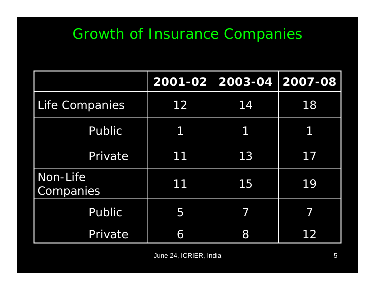## Growth of Insurance Companies

|                       |    | 2001-02 2003-04 2007-08 |    |
|-----------------------|----|-------------------------|----|
| Life Companies        | 12 | 14                      | 18 |
| Public                | 1  | 1                       | 1  |
| Private               | 11 | 13                      | 17 |
| Non-Life<br>Companies | 11 | 15                      | 19 |
| Public                | 5  | 7                       |    |
| Private               | 6  | 8                       |    |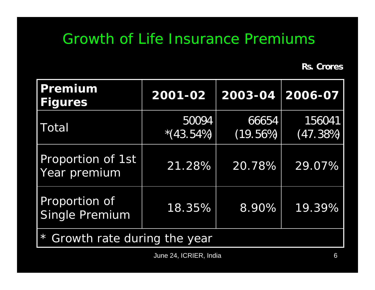#### Growth of Life Insurance Premiums

**Rs. Crores**

| Premium<br><b>Figures</b>              | 2001-02              | 2003-04           | 2006-07            |  |  |
|----------------------------------------|----------------------|-------------------|--------------------|--|--|
| Total                                  | 50094<br>$*(43.54%)$ | 66654<br>(19.56%) | 156041<br>(47.38%) |  |  |
| Proportion of 1st<br>Year premium      | 21.28%               | 20.78%            | 29.07%             |  |  |
| Proportion of<br><b>Single Premium</b> | 18.35%               | 8.90%             | 19.39%             |  |  |
| $\star$<br>Growth rate during the year |                      |                   |                    |  |  |

June 24, ICRIER, India 6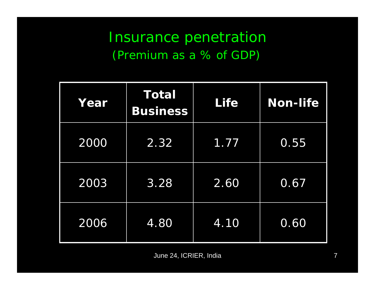#### Insurance penetration (Premium as a % of GDP)

| Year | <b>Total</b><br><b>Business</b> | <b>Life</b> | Non-life          |
|------|---------------------------------|-------------|-------------------|
| 2000 | 2.32                            | 1.77        | 0.55              |
| 2003 | $3.\overline{28}$               | 2.60        | 0.67              |
| 2006 | 4.80                            | 4.10        | $0.\overline{60}$ |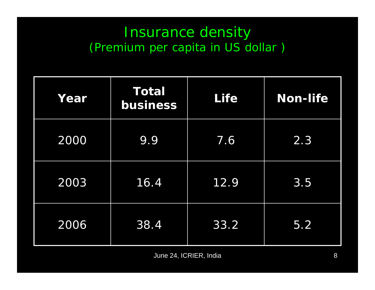#### Insurance density (Premium per capita in US dollar )

| Year | <b>Total</b><br>business | <b>Life</b> | <b>Non-life</b>  |
|------|--------------------------|-------------|------------------|
| 2000 | 9.9                      | 7.6         | $\overline{2.3}$ |
| 2003 | 16.4                     | 12.9        | 3.5              |
| 2006 | 38.4                     | 33.2        | 5.2              |

June 24, ICRIER, India 8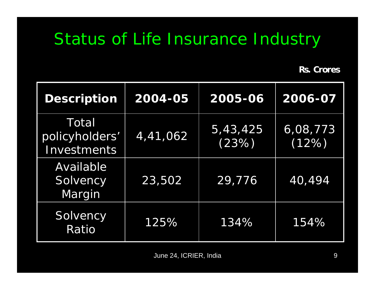## Status of Life Insurance Industry

**Rs. Crores**

| <b>Description</b>                     | 2004-05  | 2005-06           | 2006-07           |
|----------------------------------------|----------|-------------------|-------------------|
| Total<br>policyholders'<br>Investments | 4,41,062 | 5,43,425<br>(23%) | 6,08,773<br>(12%) |
| Available<br>Solvency<br>Margin        | 23,502   | 29,776            | 40,494            |
| Solvency<br>Ratio                      | 125%     | 134%              | 154%              |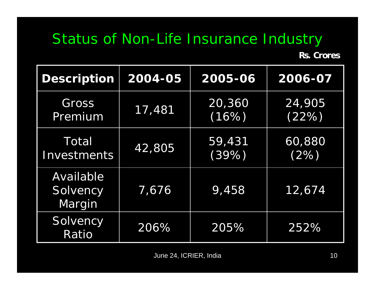# Status of Non-Life Insurance Industry

**Rs. Crores**

| <b>Description</b>              | 2004-05 | 2005-06            | 2006-07         |
|---------------------------------|---------|--------------------|-----------------|
| Gross<br>Premium                | 17,481  | 20,360<br>(16%)    | 24,905<br>(22%) |
| Total<br>Investments            | 42,805  | 59,431<br>$(39\%)$ | 60,880<br>(2%)  |
| Available<br>Solvency<br>Margin | 7,676   | 9,458              | 12,674          |
| Solvency<br>Ratio               | 206%    | 205%               | 252%            |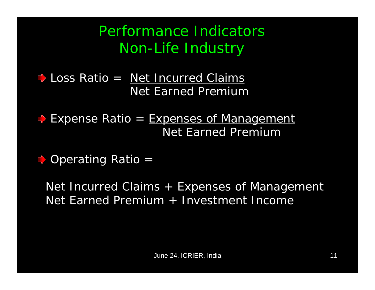Performance Indicators Non-Life Industry

Loss Ratio = Net Incurred Claims Net Earned Premium

**Expense Ratio = Expenses of Management** Net Earned Premium

 $\Rightarrow$  **Operating Ratio =** 

Net Incurred Claims + Expenses of Management Net Earned Premium + Investment Income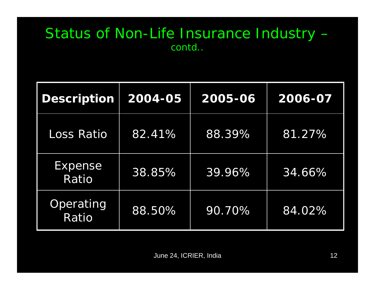#### Status of Non-Life Insurance Industry – contd..

| <b>Description</b> | 2004-05 | 2005-06 | 2006-07 |
|--------------------|---------|---------|---------|
| <b>Loss Ratio</b>  | 82.41%  | 88.39%  | 81.27%  |
| Expense<br>Ratio   | 38.85%  | 39.96%  | 34.66%  |
| Operating<br>Ratio | 88.50%  | 90.70%  | 84.02%  |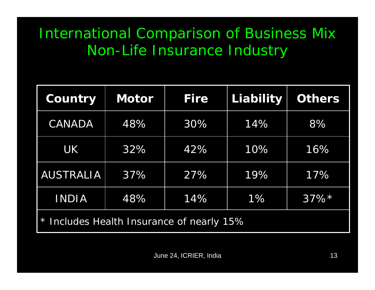## International Comparison of Business Mix Non-Life Insurance Industry

| Country                                   | <b>Motor</b> | <b>Fire</b> | <b>Liability</b> | <b>Others</b> |
|-------------------------------------------|--------------|-------------|------------------|---------------|
| <b>CANADA</b>                             | 48%          | 30%         | 14%              | 8%            |
| <b>UK</b>                                 | 32%          | 42%         | 10%              | 16%           |
| <b>AUSTRALIA</b>                          | 37%          | 27%         | 19%              | 17%           |
| <b>INDIA</b>                              | 48%          | 14%         | 1%               | $37\%*$       |
| * Includes Health Insurance of nearly 15% |              |             |                  |               |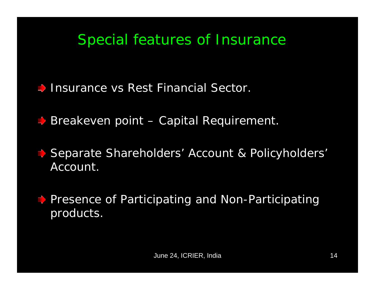#### Special features of Insurance

Insurance vs Rest Financial Sector.

**Breakeven point – Capital Requirement.** 

Separate Shareholders' Account & Policyholders' Account.

**E** Presence of Participating and Non-Participating products.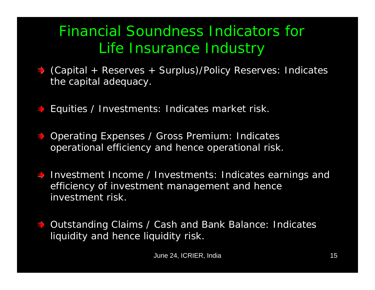## Financial Soundness Indicators for Life Insurance Industry

- (Capital + Reserves + Surplus)/Policy Reserves: Indicates the capital adequacy.
- Equities / Investments: Indicates market risk.
- **Operating Expenses / Gross Premium: Indicates** operational efficiency and hence operational risk.
- Investment Income / Investments: Indicates earnings and efficiency of investment management and hence investment risk.
- Outstanding Claims / Cash and Bank Balance: Indicates liquidity and hence liquidity risk.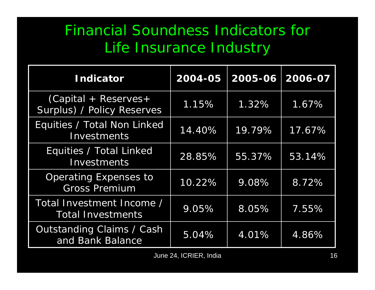## Financial Soundness Indicators for Life Insurance Industry

| <b>Indicator</b>                                      | 2004-05 | 2005-06 | 2006-07 |
|-------------------------------------------------------|---------|---------|---------|
| $(Capital + Reserves +$<br>Surplus) / Policy Reserves | 1.15%   | 1.32%   | 1.67%   |
| Equities / Total Non Linked<br>Investments            | 14.40%  | 19.79%  | 17.67%  |
| Equities / Total Linked<br>Investments                | 28.85%  | 55.37%  | 53.14%  |
| <b>Operating Expenses to</b><br><b>Gross Premium</b>  | 10.22%  | 9.08%   | 8.72%   |
| Total Investment Income /<br><b>Total Investments</b> | 9.05%   | 8.05%   | 7.55%   |
| <b>Outstanding Claims / Cash</b><br>and Bank Balance  | 5.04%   | 4.01%   | 4.86%   |

June 24, ICRIER, India 16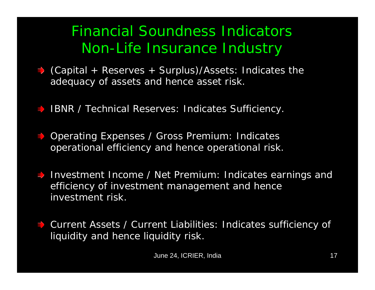## Financial Soundness Indicators Non-Life Insurance Industry

- (Capital + Reserves + Surplus)/Assets: Indicates the adequacy of assets and hence asset risk.
- **IBNR / Technical Reserves: Indicates Sufficiency.**
- $\rightarrow$  **Operating Expenses / Gross Premium: Indicates** operational efficiency and hence operational risk.
- Investment Income / Net Premium: Indicates earnings and efficiency of investment management and hence investment risk.
- Current Assets / Current Liabilities: Indicates sufficiency of liquidity and hence liquidity risk.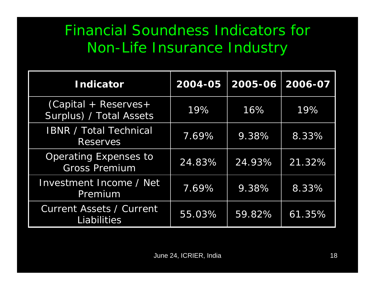## Financial Soundness Indicators for Non-Life Insurance Industry

| <b>Indicator</b>                                      | 2004-05 | 2005-06 | 2006-07 |
|-------------------------------------------------------|---------|---------|---------|
| $(Capital + Reserves +$<br>Surplus) / Total Assets    | 19%     | 16%     | 19%     |
| <b>IBNR / Total Technical</b><br><b>Reserves</b>      | 7.69%   | 9.38%   | 8.33%   |
| <b>Operating Expenses to</b><br><b>Gross Premium</b>  | 24.83%  | 24.93%  | 21.32%  |
| Investment Income / Net<br>Premium                    | 7.69%   | 9.38%   | 8.33%   |
| <b>Current Assets / Current</b><br><b>Liabilities</b> | 55.03%  | 59.82%  | 61.35%  |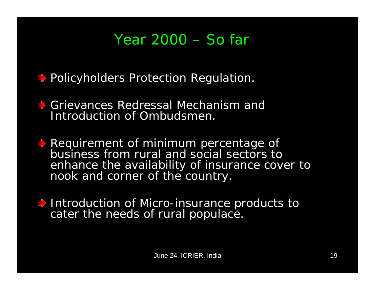#### Year 2000 – So far

 $\Rightarrow$  Policyholders Protection Regulation.

Grievances Redressal Mechanism and Introduction of Ombudsmen.

Requirement of minimum percentage of business from rural and social sectors to enhance the availability of insurance cover to nook and corner of the country.

Introduction of Micro-insurance products to cater the needs of rural populace.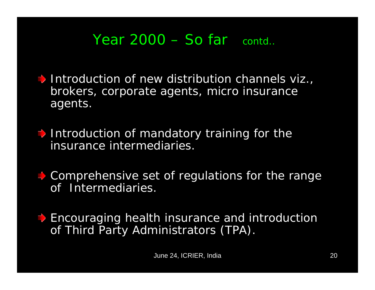$\rightarrow$  Introduction of new distribution channels viz., brokers, corporate agents, micro insurance agents.

 $\Rightarrow$  Introduction of mandatory training for the insurance intermediaries.

• Comprehensive set of regulations for the range of Intermediaries.

**Encouraging health insurance and introduction** of Third Party Administrators (TPA).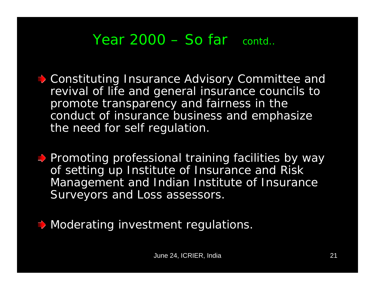- $\Rightarrow$  Constituting Insurance Advisory Committee and revival of life and general insurance councils to promote transparency and fairness in the conduct of insurance business and emphasize the need for self regulation.
- **Promoting professional training facilities by way** of setting up Institute of Insurance and Risk Management and Indian Institute of Insurance Surveyors and Loss assessors.
- $\Rightarrow$  Moderating investment regulations.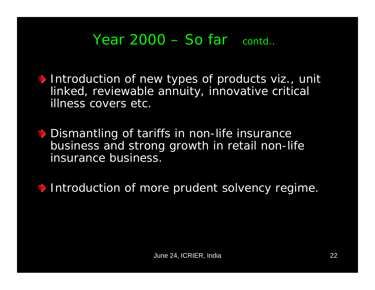Introduction of new types of products viz., unit linked, reviewable annuity, innovative critical illness covers etc.

**→** Dismantling of tariffs in non-life insurance business and strong growth in retail non-life insurance business.

Introduction of more prudent solvency regime.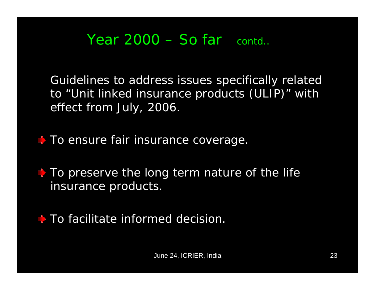Guidelines to address issues specifically related to "Unit linked insurance products (ULIP)" with effect from July, 2006.

 $\rightarrow$  To ensure fair insurance coverage.

 $\uparrow$  To preserve the long term nature of the life insurance products.

 $\uparrow$  To facilitate informed decision.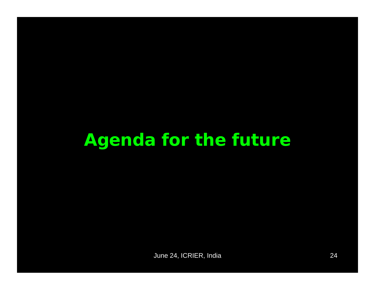# **Agenda for the future**

June 24, ICRIER, India 24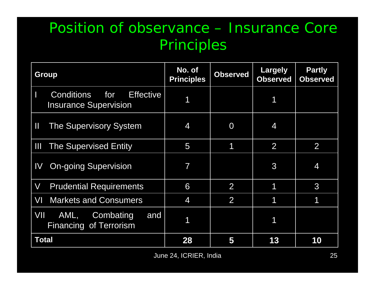#### Position of observance – Insurance Core Principles

| <b>Group</b>                                                                 | No. of<br><b>Principles</b> | <b>Observed</b> | Largely<br><b>Observed</b> | <b>Partly</b><br><b>Observed</b> |
|------------------------------------------------------------------------------|-----------------------------|-----------------|----------------------------|----------------------------------|
| for<br><b>Conditions</b><br><b>Effective</b><br><b>Insurance Supervision</b> |                             |                 |                            |                                  |
| Ш<br><b>The Supervisory System</b>                                           | 4                           | $\overline{0}$  | 4                          |                                  |
| Ш<br><b>The Supervised Entity</b>                                            | 5                           | 1               | 2                          | $\overline{2}$                   |
| <b>On-going Supervision</b><br>IV                                            | $\overline{\mathcal{I}}$    |                 | 3                          | 4                                |
| $\overline{\mathsf{V}}$<br><b>Prudential Requirements</b>                    | 6                           | 2               | 1                          | 3                                |
| VI<br><b>Markets and Consumers</b>                                           | 4                           | $\overline{2}$  |                            | 1                                |
| VIL<br>AML,<br>Combating<br>and<br><b>Financing of Terrorism</b>             | 1                           |                 | 1                          |                                  |
| Total                                                                        | 28                          | 5               | 13                         | 10                               |

June 24, ICRIER, India 25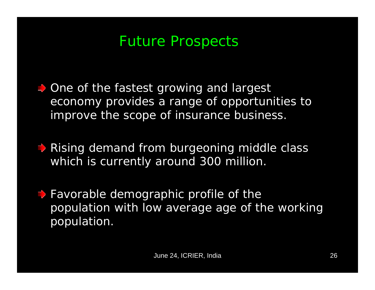#### Future Prospects

 $\Rightarrow$  One of the fastest growing and largest economy provides a range of opportunities to improve the scope of insurance business.

**► Rising demand from burgeoning middle class** which is currently around 300 million.

**→ Favorable demographic profile of the** population with low average age of the working population.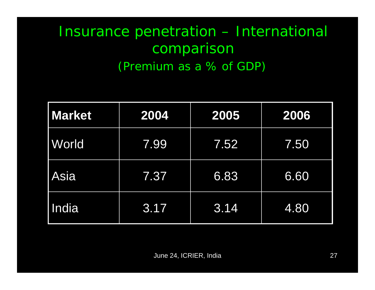## Insurance penetration – International comparison (Premium as a % of GDP)

| <b>Market</b> | 2004 | 2005 | 2006 |
|---------------|------|------|------|
| World         | 7.99 | 7.52 | 7.50 |
| <b>Asia</b>   | 7.37 | 6.83 | 6.60 |
| India         | 3.17 | 3.14 | 4.80 |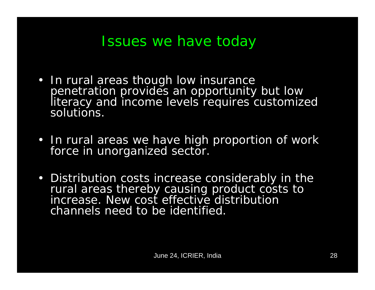#### Issues we have today

- In rural areas though low insurance penetration provides an opportunity but low literacy and income levels requires customized solutions.
- In rural areas we have high proportion of work force in unorganized sector.
- Distribution costs increase considerably in the rural areas thereby causing product costs to increase. New cost effective distribution channels need to be identified.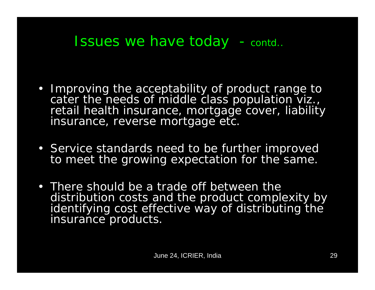#### Issues we have today - contd..

- Improving the acceptability of product range to cater the needs of middle class population viz., retail health insurance, mortgage cover, liability insurance, reverse mortgage etc.
- Service standards need to be further improved to meet the growing expectation for the same.
- There should be a trade off between the distribution costs and the product complexity by identifying cost effective way of distributing the insurance products.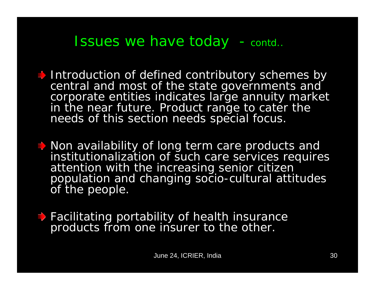#### Issues we have today - contd..

 $\blacktriangleright$  Introduction of defined contributory schemes by central and most of the state governments and corporate entities indicates large annuity market in the near future. Product range to cater the needs of this section needs special focus.

Non availability of long term care products and institutionalization of such care services requires attention with the increasing senior citizen population and changing socio-cultural attitudes of the people.

**→ Facilitating portability of health insurance** products from one insurer to the other.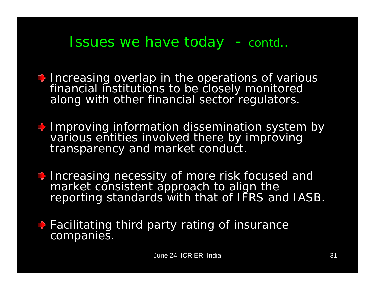#### Issues we have today - contd..

- $\Rightarrow$  Increasing overlap in the operations of various financial institutions to be closely monitored along with other financial sector regulators.
- Improving information dissemination system by various entities involved there by improving transparency and market conduct.
- **Increasing necessity of more risk focused and** market consistent approach to align the reporting standards with that of IFRS and IASB.
- **→ Facilitating third party rating of insurance** companies.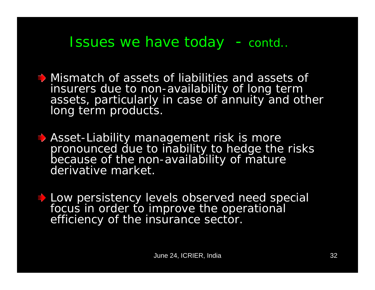#### Issues we have today - contd..

- Mismatch of assets of liabilities and assets of insurers due to non-availability of long term assets, particularly in case of annuity and other long term products.
- **♦ Asset-Liability management risk is more** pronounced due to inability to hedge the risks because of the non-availability of mature derivative market.
- Low persistency levels observed need special focus in order to improve the operational efficiency of the insurance sector.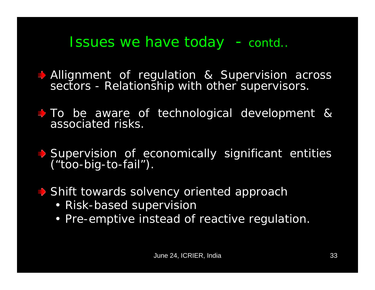#### Issues we have today - contd..

Allignment of regulation & Supervision across sectors - Relationship with other supervisors.

To be aware of technological development & associated risks.

Supervision of economically significant entities ("too-big-to-fail").

Shift towards solvency oriented approach

- Risk-based supervision
- Pre-emptive instead of reactive regulation.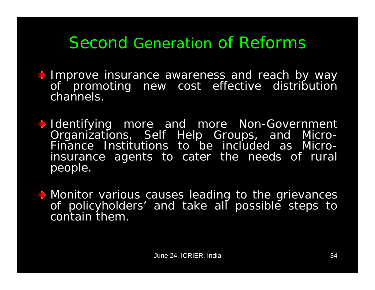## Second Generation of Reforms

- **Improve insurance awareness and reach by way** of promoting new cost effective distribution channels.
- Identifying more and more Non-Government Organizations, Self Help Groups, and Micro-Finance Institutions to be included as Microinsurance agents to cater the needs of rural people.
- **Monitor various causes leading to the grievances** of policyholders' and take all possible steps to contain them.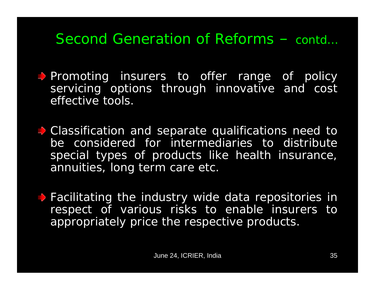- Promoting insurers to offer range of policy servicing options through innovative and cost effective tools.
- **→ Classification and separate qualifications need to** be considered for intermediaries to distribute special types of products like health insurance, annuities, long term care etc.
- **Facilitating the industry wide data repositories in** respect of various risks to enable insurers to appropriately price the respective products.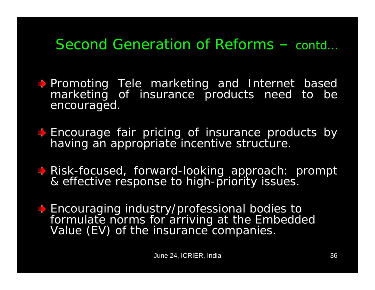- **Promoting Tele marketing and Internet based** marketing of insurance products need to be encouraged.
- **Encourage fair pricing of insurance products by** having an appropriate incentive structure.
- Risk-focused, forward-looking approach: prompt & effective response to high-priority issues.
- $\blacktriangleright$  Encouraging industry/professional bodies to formulate norms for arriving at the Embedded<br>Value (EV) of the insurance companies.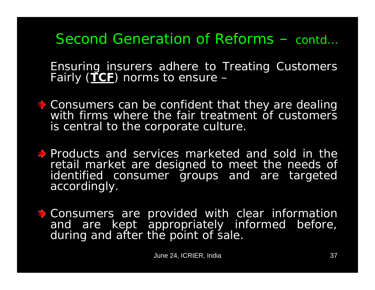Ensuring insurers adhere to Treating Customers Fairly (**TCF**) norms to ensure –

- **↑ Consumers can be confident that they are dealing** with firms where the fair treatment of customers is central to the corporate culture.
- Products and services marketed and sold in the retail market are designed to meet the needs of identified consumer groups and are targeted accordingly.
- $\Rightarrow$  Consumers are provided with clear information and are kept appropriately informed before, during and after the point of sale.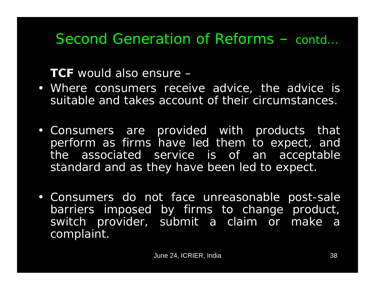**TCF** would also ensure –

- Where consumers receive advice, the advice is suitable and takes account of their circumstances.
- Consumers are provided with products that perform as firms have led them to expect, and the associated service is of an acceptable standard and as they have been led to expect.
- Consumers do not face unreasonable post-sale barriers imposed by firms to change product, switch provider, submit a claim or make a complaint.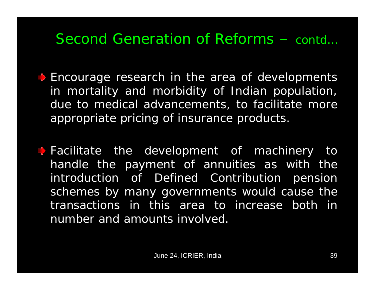- **Encourage research in the area of developments** in mortality and morbidity of Indian population, due to medical advancements, to facilitate more appropriate pricing of insurance products.
- $\rightarrow$  Facilitate the development of machinery to handle the payment of annuities as with the introduction of Defined Contribution pension schemes by many governments would cause the transactions in this area to increase both in number and amounts involved.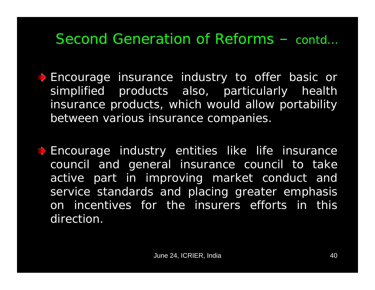**Encourage insurance industry to offer basic or** simplified products also, particularly health insurance products, which would allow portability between various insurance companies.

**Encourage industry entities like life insurance** council and general insurance council to take active part in improving market conduct and service standards and placing greater emphasis on incentives for the insurers efforts in this direction.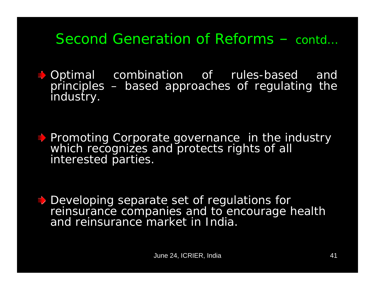$\rightarrow$  Optimal combination of rules-based and principles – based approaches of regulating the industry.

Promoting Corporate governance in the industry which recognizes and protects rights of all interested parties.

Developing separate set of regulations for reinsurance companies and to encourage health and reinsurance market in India.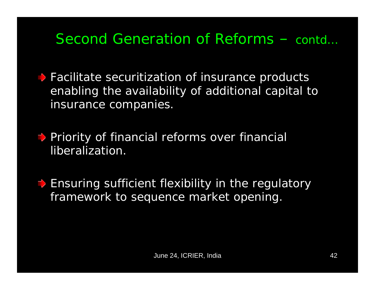**• Facilitate securitization of insurance products** enabling the availability of additional capital to insurance companies.

**Priority of financial reforms over financial** liberalization.

 $\Rightarrow$  Ensuring sufficient flexibility in the regulatory framework to sequence market opening.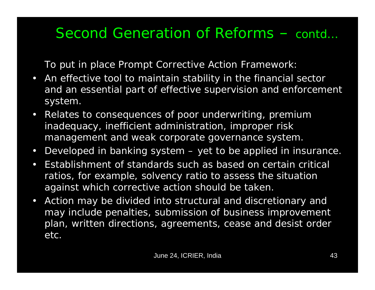To put in place Prompt Corrective Action Framework:

- $\bullet$  An effective tool to maintain stability in the financial sector and an essential part of effective supervision and enforcement system.
- $\bullet$  Relates to consequences of poor underwriting, premium inadequacy, inefficient administration, improper risk management and weak corporate governance system.
- $\bullet$ Developed in banking system – yet to be applied in insurance.
- Establishment of standards such as based on certain critical ratios, for example, solvency ratio to assess the situation against which corrective action should be taken.
- $\bullet$  Action may be divided into structural and discretionary and may include penalties, submission of business improvement plan, written directions, agreements, cease and desist order etc.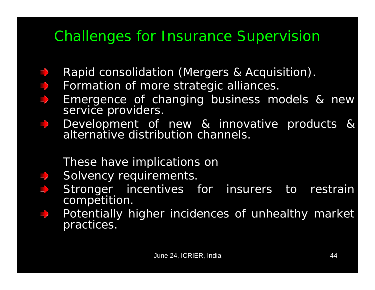## Challenges for Insurance Supervision

- Rapid consolidation (Mergers & Acquisition).
- Formation of more strategic alliances.  $\Rightarrow$ 
	- Emergence of changing business models & new service providers.
	- Development of new & innovative products & alternative distribution channels.

#### These have implications on

- Solvency requirements.
- Stronger incentives for insurers to restrain competition.
- Potentially higher incidences of unhealthy market practices.